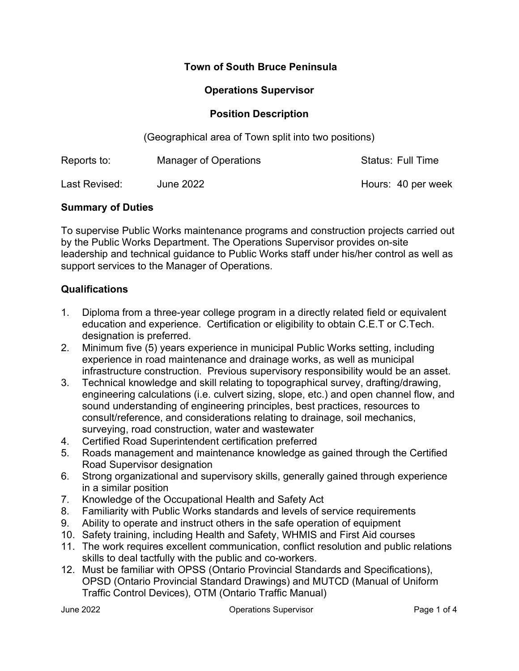### Town of South Bruce Peninsula

### Operations Supervisor

#### Position Description

(Geographical area of Town split into two positions)

| Reports to:   | Manager of Operations | <b>Status: Full Time</b> |
|---------------|-----------------------|--------------------------|
| Last Revised: | <b>June 2022</b>      | Hours: 40 per week       |

#### Summary of Duties

To supervise Public Works maintenance programs and construction projects carried out by the Public Works Department. The Operations Supervisor provides on-site leadership and technical guidance to Public Works staff under his/her control as well as support services to the Manager of Operations.

### Qualifications

- 1. Diploma from a three-year college program in a directly related field or equivalent education and experience. Certification or eligibility to obtain C.E.T or C.Tech. designation is preferred.
- 2. Minimum five (5) years experience in municipal Public Works setting, including experience in road maintenance and drainage works, as well as municipal infrastructure construction. Previous supervisory responsibility would be an asset.
- 3. Technical knowledge and skill relating to topographical survey, drafting/drawing, engineering calculations (i.e. culvert sizing, slope, etc.) and open channel flow, and sound understanding of engineering principles, best practices, resources to consult/reference, and considerations relating to drainage, soil mechanics, surveying, road construction, water and wastewater
- 4. Certified Road Superintendent certification preferred
- 5. Roads management and maintenance knowledge as gained through the Certified Road Supervisor designation
- 6. Strong organizational and supervisory skills, generally gained through experience in a similar position
- 7. Knowledge of the Occupational Health and Safety Act
- 8. Familiarity with Public Works standards and levels of service requirements
- 9. Ability to operate and instruct others in the safe operation of equipment
- 10. Safety training, including Health and Safety, WHMIS and First Aid courses
- 11. The work requires excellent communication, conflict resolution and public relations skills to deal tactfully with the public and co-workers.
- 12. Must be familiar with OPSS (Ontario Provincial Standards and Specifications), OPSD (Ontario Provincial Standard Drawings) and MUTCD (Manual of Uniform Traffic Control Devices), OTM (Ontario Traffic Manual)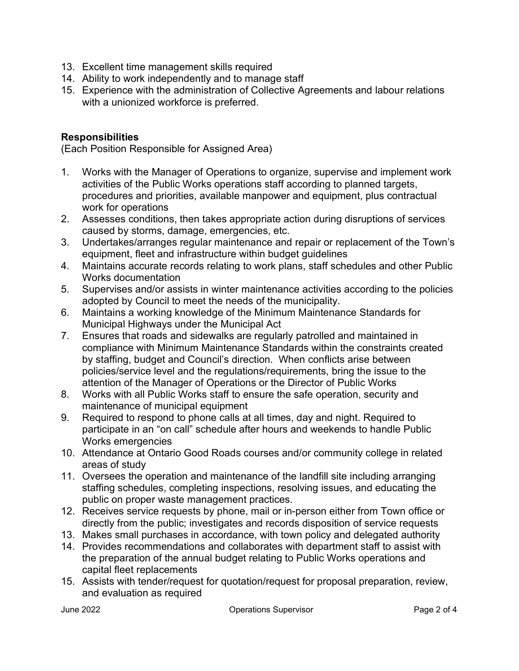- 13. Excellent time management skills required
- 14. Ability to work independently and to manage staff
- 15. Experience with the administration of Collective Agreements and labour relations with a unionized workforce is preferred.

### Responsibilities

(Each Position Responsible for Assigned Area)

- 1. Works with the Manager of Operations to organize, supervise and implement work activities of the Public Works operations staff according to planned targets, procedures and priorities, available manpower and equipment, plus contractual work for operations
- 2. Assesses conditions, then takes appropriate action during disruptions of services caused by storms, damage, emergencies, etc.
- 3. Undertakes/arranges regular maintenance and repair or replacement of the Town's equipment, fleet and infrastructure within budget guidelines
- 4. Maintains accurate records relating to work plans, staff schedules and other Public Works documentation
- 5. Supervises and/or assists in winter maintenance activities according to the policies adopted by Council to meet the needs of the municipality.
- 6. Maintains a working knowledge of the Minimum Maintenance Standards for Municipal Highways under the Municipal Act
- 7. Ensures that roads and sidewalks are regularly patrolled and maintained in compliance with Minimum Maintenance Standards within the constraints created by staffing, budget and Council's direction. When conflicts arise between policies/service level and the regulations/requirements, bring the issue to the attention of the Manager of Operations or the Director of Public Works
- 8. Works with all Public Works staff to ensure the safe operation, security and maintenance of municipal equipment
- 9. Required to respond to phone calls at all times, day and night. Required to participate in an "on call" schedule after hours and weekends to handle Public Works emergencies
- 10. Attendance at Ontario Good Roads courses and/or community college in related areas of study
- 11. Oversees the operation and maintenance of the landfill site including arranging staffing schedules, completing inspections, resolving issues, and educating the public on proper waste management practices.
- 12. Receives service requests by phone, mail or in-person either from Town office or directly from the public; investigates and records disposition of service requests
- 13. Makes small purchases in accordance, with town policy and delegated authority
- 14. Provides recommendations and collaborates with department staff to assist with the preparation of the annual budget relating to Public Works operations and capital fleet replacements
- 15. Assists with tender/request for quotation/request for proposal preparation, review, and evaluation as required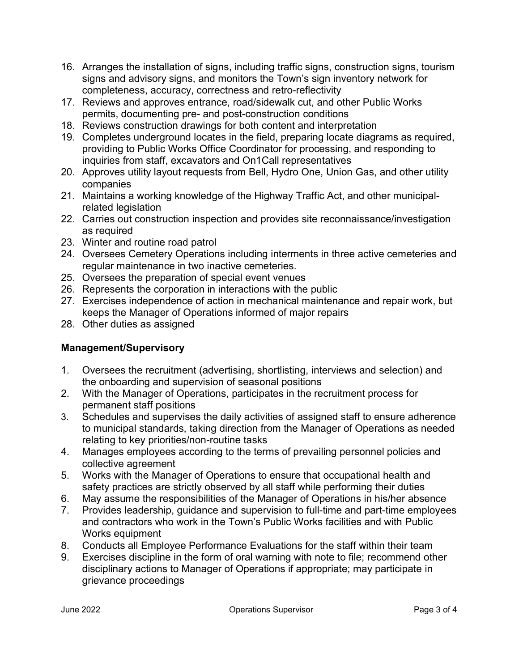- 16. Arranges the installation of signs, including traffic signs, construction signs, tourism signs and advisory signs, and monitors the Town's sign inventory network for completeness, accuracy, correctness and retro-reflectivity
- 17. Reviews and approves entrance, road/sidewalk cut, and other Public Works permits, documenting pre- and post-construction conditions
- 18. Reviews construction drawings for both content and interpretation
- 19. Completes underground locates in the field, preparing locate diagrams as required, providing to Public Works Office Coordinator for processing, and responding to inquiries from staff, excavators and On1Call representatives
- 20. Approves utility layout requests from Bell, Hydro One, Union Gas, and other utility companies
- 21. Maintains a working knowledge of the Highway Traffic Act, and other municipalrelated legislation
- 22. Carries out construction inspection and provides site reconnaissance/investigation as required
- 23. Winter and routine road patrol
- 24. Oversees Cemetery Operations including interments in three active cemeteries and regular maintenance in two inactive cemeteries.
- 25. Oversees the preparation of special event venues
- 26. Represents the corporation in interactions with the public
- 27. Exercises independence of action in mechanical maintenance and repair work, but keeps the Manager of Operations informed of major repairs
- 28. Other duties as assigned

# Management/Supervisory

- 1. Oversees the recruitment (advertising, shortlisting, interviews and selection) and the onboarding and supervision of seasonal positions
- 2. With the Manager of Operations, participates in the recruitment process for permanent staff positions
- 3. Schedules and supervises the daily activities of assigned staff to ensure adherence to municipal standards, taking direction from the Manager of Operations as needed relating to key priorities/non-routine tasks
- 4. Manages employees according to the terms of prevailing personnel policies and collective agreement
- 5. Works with the Manager of Operations to ensure that occupational health and safety practices are strictly observed by all staff while performing their duties
- 6. May assume the responsibilities of the Manager of Operations in his/her absence
- 7. Provides leadership, guidance and supervision to full-time and part-time employees and contractors who work in the Town's Public Works facilities and with Public Works equipment
- 8. Conducts all Employee Performance Evaluations for the staff within their team
- 9. Exercises discipline in the form of oral warning with note to file; recommend other disciplinary actions to Manager of Operations if appropriate; may participate in grievance proceedings